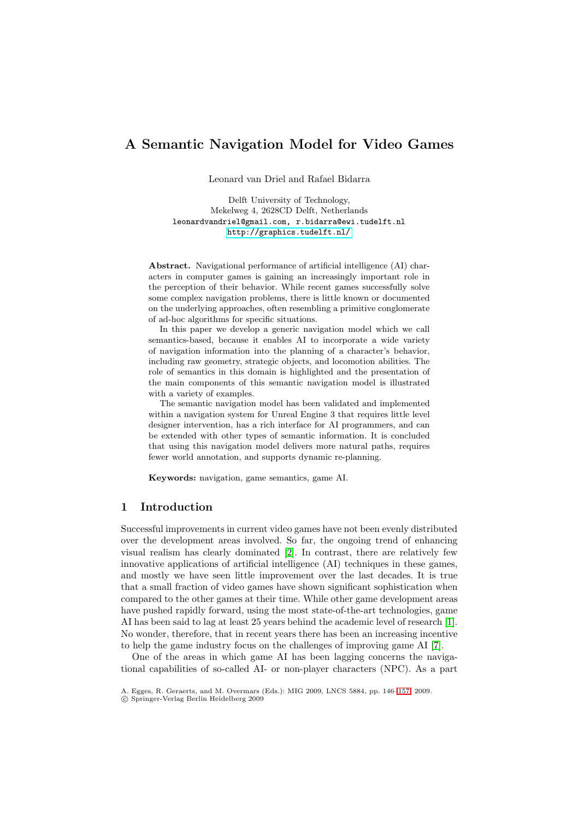# **A Semantic Navigation Model for Video Games**

Leonard van Driel and Rafael Bidarra

Delft University of Technology, Mekelweg 4, 2628CD Delft, Netherlands leonardvandriel@gmail.com, r.bidarra@ewi.tudelft.nl http://graphics.tudelft.nl/

**Abstract.** Navigational performance of artificial intelligence (AI) characters in computer [games is gaining an increasingly](http://graphics.tudelft.nl/) important role in the perception of their behavior. While recent games successfully solve some complex navigation problems, there is little known or documented on the underlying approaches, often resembling a primitive conglomerate of ad-hoc algorithms for specific situations.

In this paper we develop a generic navigation model which we call semantics-based, because it enables AI to incorporate a wide variety of navigation information into the planning of a character's behavior, including raw geometry, strategic objects, and locomotion abilities. The role of semantics in this domain is highlighted and the presentation of the main components of this semantic navigation model is illustrated with a variety of examples.

The semantic navigation model has been validated and implemented within a navigation system for Unreal Engine 3 that requires little level designer intervention, has a rich interface for AI programmers, and can be extended with other types of semantic information. It is concluded that using this navigation model delivers more natural paths, requires fewer world annotation, and supports dynamic re-planning.

**Keywords:** navigation, game semantics, game AI.

### **1 Introduction**

Successful improvements in current video games have not been evenly distributed over the development areas involved. So far, the ongoing trend of enhancing visual realism has clearly dominated [2]. In contrast, there are relatively few innovative applications of artificial intelligence (AI) techniques in these games, and mostly we have seen little improvement over the last decades. It is true that a small fraction of video games have shown significant sophistication when compared to the other games at their ti[m](#page-11-0)e. While other game development areas have pushed rapidly forward, using the most state-of-the-art technologies, game AI has been said to lag at least 25 years behind the academic level of research [1]. No wonder, therefore, that in recent years there has been an increasing incentive to help the game industry focus on the challenges of improving game AI [7].

One of the areas in which game AI has been lagging concerns the navigational capabilities of so-called AI- or non-player characters (NPC). As a p[ar](#page-11-1)t

A. Egges, R. Geraerts, and M. Overmars (Eds.): MIG 2009, LNCS 5884, pp. 146–157, 2009.

<sup>-</sup>c Springer-Verlag Berlin Heidelberg 2009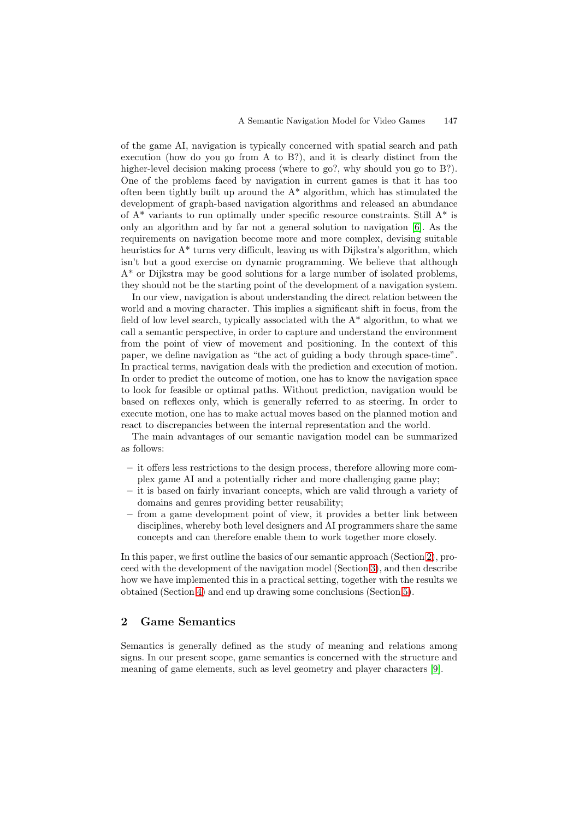of the game AI, navigation is typically concerned with spatial search and path execution (how do you go from A to B?), and it is clearly distinct from the higher-level decision making process (where to go?, why should you go to B?). One of the problems faced by navigation in current games is that it has too often been tightly built up around the  $A^*$  algorithm, which has stimulated the development of graph-based navigation algorithms and released an abundance of  $A^*$  variants to run optimally under specific resource constraints. Still  $A^*$  is only an algorithm and by far not a general solution to navigation [6]. As the requirements on navigation become more and more complex, devising suitable heuristics for A\* turns very difficult, leaving us with Dijkstra's algorithm, which isn't but a good exercise on dynamic programming. We believe that although A\* or Dijkstra may be good solutions for a large number of isolated [p](#page-11-2)roblems, they should not be the starting point of the development of a navigation system.

In our view, navigation is about understanding the direct relation between the world and a moving character. This implies a significant shift in focus, from the field of low level search, typically associated with the  $A^*$  algorithm, to what we call a semantic perspective, in order to capture and understand the environment from the point of view of movement and positioning. In the context of this paper, we define navigation as "the act of guiding a body through space-time". In practical terms, navigation deals with the prediction and execution of motion. In order to predict the outcome of motion, one has to know the navigation space to look for feasible or optimal paths. Without prediction, navigation would be based on reflexes only, which is generally referred to as steering. In order to execute motion, one has to make actual moves based on the planned motion and react to discrepancies between the internal representation and the world.

The main advantages of our semantic navigation model can be summarized as follows:

- **–** it offers less restrictions to the design process, therefore allowing more complex game AI and a potentially richer and more challenging game play;
- **–** it is based on fairly invariant concepts, which are valid through a variety of domains and genres providing better reusability;
- **–** from a game development point of view, it provides a better link between disciplines, whereby both level designers and AI programmers share the same concepts and can therefore enable them to work together more closely.

In this paper, we first outline the basics of our semantic approach (Section 2), proceed with the development of the navigation model (Section 3), and then describe how we have implemented this in a practical setting, together with the results we obtained (Section 4) and end up drawing some conclusions (Section 5).

# **2 Game Semantics**

Semantics is gen[era](#page-7-0)lly defined as the study of meaning and rel[ati](#page-10-0)ons among signs. In our present scope, game semantics is concerned with the structure and meaning of game elements, such as level geometry and player characters [9].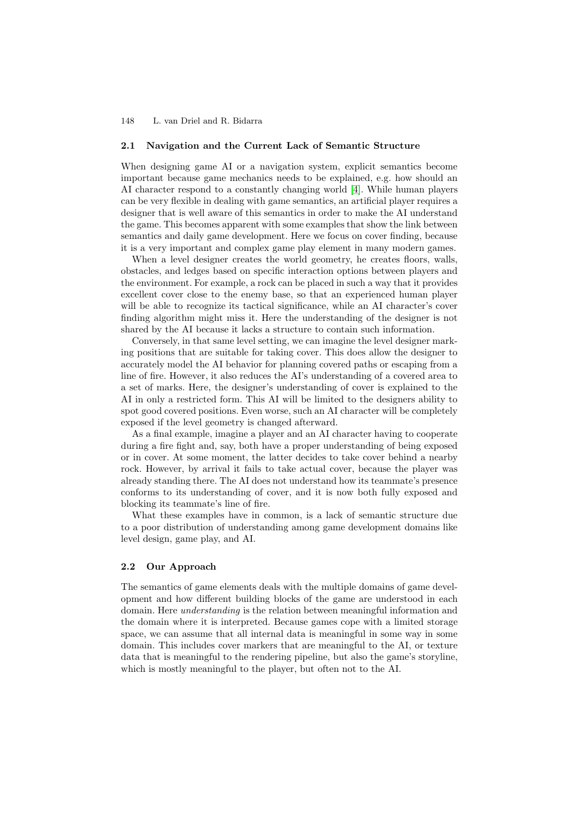#### **2.1 Navigation and the Current Lack of Semantic Structure**

When designing game AI or a navigation system, explicit semantics become important because game mechanics needs to be explained, e.g. how should an AI character respond to a constantly changing world [4]. While human players can be very flexible in dealing with game semantics, an artificial player requires a designer that is well aware of this semantics in order to make the AI understand the game. This becomes apparent with some examples that show the link between semantics and daily game development. Here we focus [on](#page-11-3) cover finding, because it is a very important and complex game play element in many modern games.

When a level designer creates the world geometry, he creates floors, walls, obstacles, and ledges based on specific interaction options between players and the environment. For example, a rock can be placed in such a way that it provides excellent cover close to the enemy base, so that an experienced human player will be able to recognize its tactical significance, while an AI character's cover finding algorithm might miss it. Here the understanding of the designer is not shared by the AI because it lacks a structure to contain such information.

Conversely, in that same level setting, we can imagine the level designer marking positions that are suitable for taking cover. This does allow the designer to accurately model the AI behavior for planning covered paths or escaping from a line of fire. However, it also reduces the AI's understanding of a covered area to a set of marks. Here, the designer's understanding of cover is explained to the AI in only a restricted form. This AI will be limited to the designers ability to spot good covered positions. Even worse, such an AI character will be completely exposed if the level geometry is changed afterward.

As a final example, imagine a player and an AI character having to cooperate during a fire fight and, say, both have a proper understanding of being exposed or in cover. At some moment, the latter decides to take cover behind a nearby rock. However, by arrival it fails to take actual cover, because the player was already standing there. The AI does not understand how its teammate's presence conforms to its understanding of cover, and it is now both fully exposed and blocking its teammate's line of fire.

What these examples have in common, is a lack of semantic structure due to a poor distribution of understanding among game development domains like level design, game play, and AI.

#### **2.2 Our Approach**

The semantics of game elements deals with the multiple domains of game development and how different building blocks of the game are understood in each domain. Here *understanding* is the relation between meaningful information and the domain where it is interpreted. Because games cope with a limited storage space, we can assume that all internal data is meaningful in some way in some domain. This includes cover markers that are meaningful to the AI, or texture data that is meaningful to the rendering pipeline, but also the game's storyline, which is mostly meaningful to the player, but often not to the AI.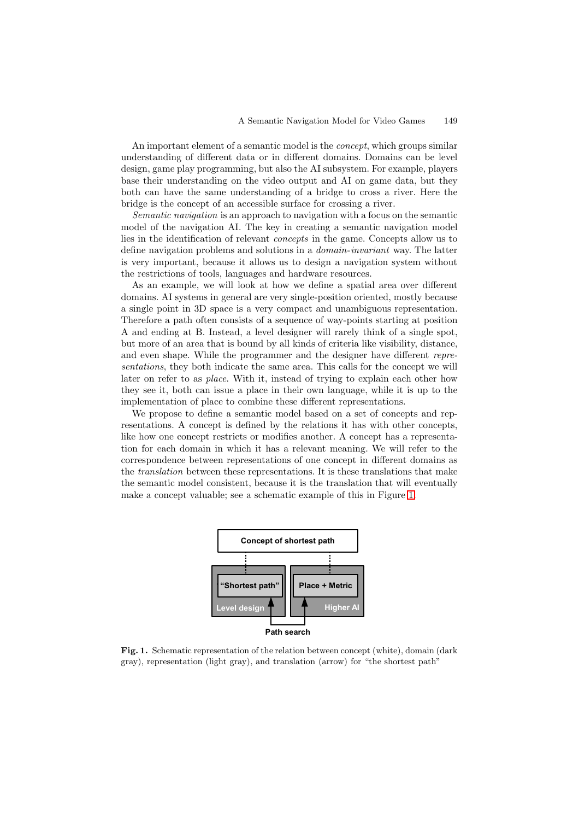An important element of a semantic model is the *concept*, which groups similar understanding of different data or in different domains. Domains can be level design, game play programming, but also the AI subsystem. For example, players base their understanding on the video output and AI on game data, but they both can have the same understanding of a bridge to cross a river. Here the bridge is the concept of an accessible surface for crossing a river.

*Semantic navigation* is an approach to navigation with a focus on the semantic model of the navigation AI. The key in creating a semantic navigation model lies in the identification of relevant *concepts* in the game. Concepts allow us to define navigation problems and solutions in a *domain*-*invariant* way. The latter is very important, because it allows us to design a navigation system without the restrictions of tools, languages and hardware resources.

As an example, we will look at how we define a spatial area over different domains. AI systems in general are very single-position oriented, mostly because a single point in 3D space is a very compact and unambiguous representation. Therefore a path often consists of a sequence of way-points starting at position A and ending at B. Instead, a level designer will rarely think of a single spot, but more of an area that is bound by all kinds of criteria like visibility, distance, and even shape. While the programmer and the designer have different *representations*, they both indicate the same area. This calls for the concept we will later on refer to as *place*. With it, instead of trying to explain each other how they see it, both can issue a place in their own language, while it is up to the implementation of place to combine these different representations.

We propose to define a semantic model based on a set of concepts and representations. A concept is defined by the relations it has with other concepts, like how one concept restricts or modifies another. A concept has a representation for each domain in which it has a relevant meaning. We will refer to the correspondence between representations of one concept in different domains as the *translation* between these representations. It is these translations that make the semantic model consistent, because it is the translation that will eventually make a concept valuable; see a schematic example of this in Figure 1.



**Fig. 1.** Schematic representation of the relation between concept (white), domain (dark gray), representation (light gray), and translation (arrow) for "the shortest path"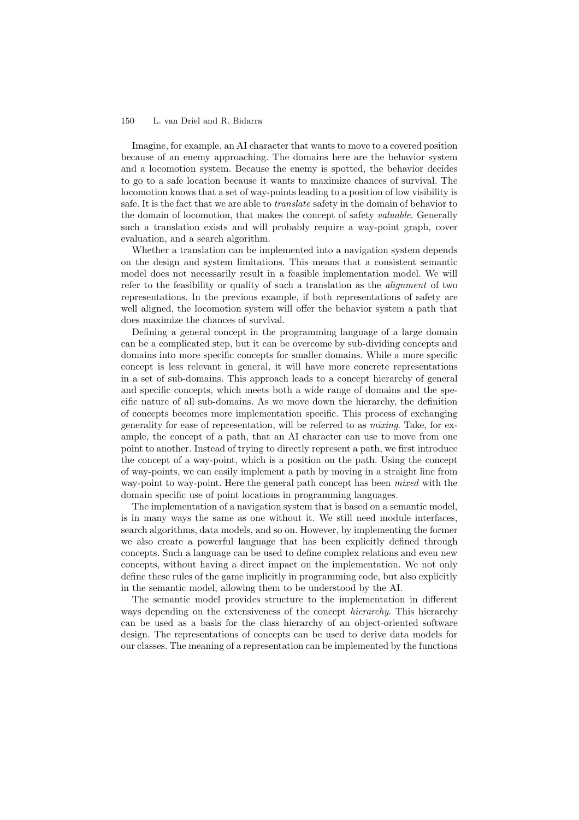Imagine, for example, an AI character that wants to move to a covered position because of an enemy approaching. The domains here are the behavior system and a locomotion system. Because the enemy is spotted, the behavior decides to go to a safe location because it wants to maximize chances of survival. The locomotion knows that a set of way-points leading to a position of low visibility is safe. It is the fact that we are able to *translate* safety in the domain of behavior to the domain of locomotion, that makes the concept of safety *valuable*. Generally such a translation exists and will probably require a way-point graph, cover evaluation, and a search algorithm.

Whether a translation can be implemented into a navigation system depends on the design and system limitations. This means that a consistent semantic model does not necessarily result in a feasible implementation model. We will refer to the feasibility or quality of such a translation as the *alignment* of two representations. In the previous example, if both representations of safety are well aligned, the locomotion system will offer the behavior system a path that does maximize the chances of survival.

Defining a general concept in the programming language of a large domain can be a complicated step, but it can be overcome by sub-dividing concepts and domains into more specific concepts for smaller domains. While a more specific concept is less relevant in general, it will have more concrete representations in a set of sub-domains. This approach leads to a concept hierarchy of general and specific concepts, which meets both a wide range of domains and the specific nature of all sub-domains. As we move down the hierarchy, the definition of concepts becomes more implementation specific. This process of exchanging generality for ease of representation, will be referred to as *mixing*. Take, for example, the concept of a path, that an AI character can use to move from one point to another. Instead of trying to directly represent a path, we first introduce the concept of a way-point, which is a position on the path. Using the concept of way-points, we can easily implement a path by moving in a straight line from way-point to way-point. Here the general path concept has been *mixed* with the domain specific use of point locations in programming languages.

The implementation of a navigation system that is based on a semantic model, is in many ways the same as one without it. We still need module interfaces, search algorithms, data models, and so on. However, by implementing the former we also create a powerful language that has been explicitly defined through concepts. Such a language can be used to define complex relations and even new concepts, without having a direct impact on the implementation. We not only define these rules of the game implicitly in programming code, but also explicitly in the semantic model, allowing them to be understood by the AI.

The semantic model provides structure to the implementation in different ways depending on the extensiveness of the concept *hierarchy*. This hierarchy can be used as a basis for the class hierarchy of an object-oriented software design. The representations of concepts can be used to derive data models for our classes. The meaning of a representation can be implemented by the functions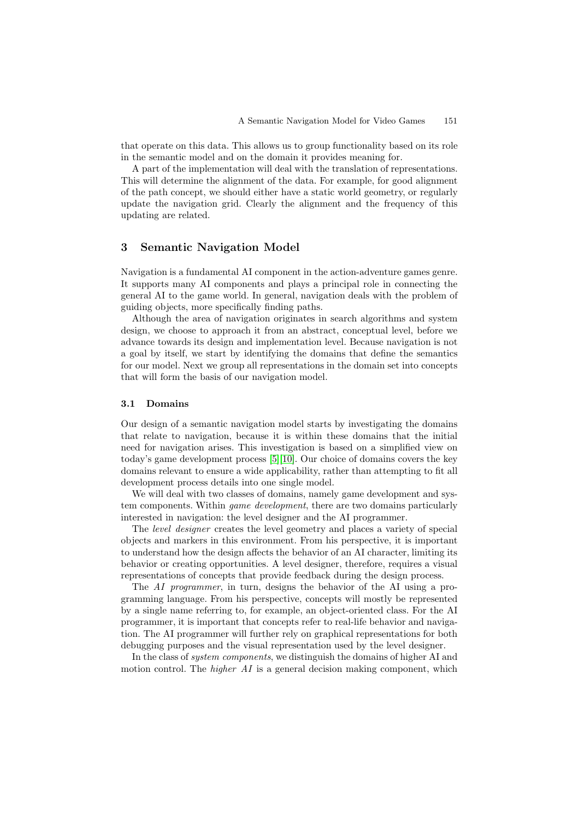that operate on this data. This allows us to group functionality based on its role in the semantic model and on the domain it provides meaning for.

A part of the implementation will deal with the translation of representations. This will determine the alignment of the data. For example, for good alignment of the path concept, we should either have a static world geometry, or regularly update the navigation grid. Clearly the alignment and the frequency of this updating are related.

# **3 Semantic Navigation Model**

Navigation is a fundamental AI component in the action-adventure games genre. It supports many AI components and plays a principal role in connecting the general AI to the game world. In general, navigation deals with the problem of guiding objects, more specifically finding paths.

Although the area of navigation originates in search algorithms and system design, we choose to approach it from an abstract, conceptual level, before we advance towards its design and implementation level. Because navigation is not a goal by itself, we start by identifying the domains that define the semantics for our model. Next we group all representations in the domain set into concepts that will form the basis of our navigation model.

#### **3.1 Domains**

Our design of a semantic navigation model starts by investigating the domains that relate to navigation, because it is within these domains that the initial need for navigation arises. This investigation is based on a simplified view on today's game development process [5][10]. Our choice of domains covers the key domains relevant to ensure a wide applicability, rather than attempting to fit all development process details into one single model.

We will deal with two classes of domains, namely game development and system components. Within *game dev[elo](#page-11-4)[pme](#page-11-5)nt*, there are two domains particularly interested in navigation: the level designer and the AI programmer.

The *level designer* creates the level geometry and places a variety of special objects and markers in this environment. From his perspective, it is important to understand how the design affects the behavior of an AI character, limiting its behavior or creating opportunities. A level designer, therefore, requires a visual representations of concepts that provide feedback during the design process.

The *AI programmer*, in turn, designs the behavior of the AI using a programming language. From his perspective, concepts will mostly be represented by a single name referring to, for example, an object-oriented class. For the AI programmer, it is important that concepts refer to real-life behavior and navigation. The AI programmer will further rely on graphical representations for both debugging purposes and the visual representation used by the level designer.

In the class of *system components*, we distinguish the domains of higher AI and motion control. The *higher AI* is a general decision making component, which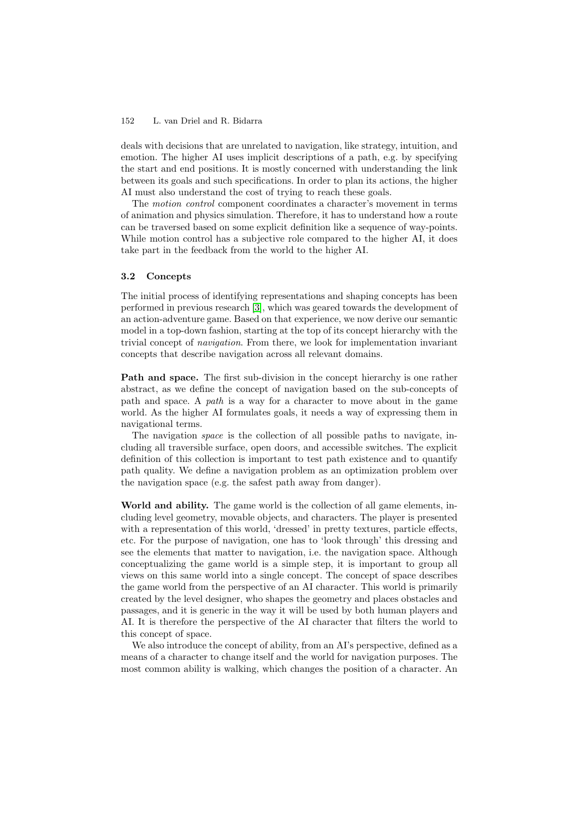deals with decisions that are unrelated to navigation, like strategy, intuition, and emotion. The higher AI uses implicit descriptions of a path, e.g. by specifying the start and end positions. It is mostly concerned with understanding the link between its goals and such specifications. In order to plan its actions, the higher AI must also understand the cost of trying to reach these goals.

The *motion control* component coordinates a character's movement in terms of animation and physics simulation. Therefore, it has to understand how a route can be traversed based on some explicit definition like a sequence of way-points. While motion control has a subjective role compared to the higher AI, it does take part in the feedback from the world to the higher AI.

#### **3.2 Concepts**

The initial process of identifying representations and shaping concepts has been performed in previous research [3], which was geared towards the development of an action-adventure game. Based on that experience, we now derive our semantic model in a top-down fashion, starting at the top of its concept hierarchy with the trivial concept of *navigation*. From there, we look for implementation invariant concepts that describe navigati[on](#page-11-6) across all relevant domains.

**Path and space.** The first sub-division in the concept hierarchy is one rather abstract, as we define the concept of navigation based on the sub-concepts of path and space. A *path* is a way for a character to move about in the game world. As the higher AI formulates goals, it needs a way of expressing them in navigational terms.

The navigation *space* is the collection of all possible paths to navigate, including all traversible surface, open doors, and accessible switches. The explicit definition of this collection is important to test path existence and to quantify path quality. We define a navigation problem as an optimization problem over the navigation space (e.g. the safest path away from danger).

**World and ability.** The game world is the collection of all game elements, including level geometry, movable objects, and characters. The player is presented with a representation of this world, 'dressed' in pretty textures, particle effects, etc. For the purpose of navigation, one has to 'look through' this dressing and see the elements that matter to navigation, i.e. the navigation space. Although conceptualizing the game world is a simple step, it is important to group all views on this same world into a single concept. The concept of space describes the game world from the perspective of an AI character. This world is primarily created by the level designer, who shapes the geometry and places obstacles and passages, and it is generic in the way it will be used by both human players and AI. It is therefore the perspective of the AI character that filters the world to this concept of space.

We also introduce the concept of ability, from an AI's perspective, defined as a means of a character to change itself and the world for navigation purposes. The most common ability is walking, which changes the position of a character. An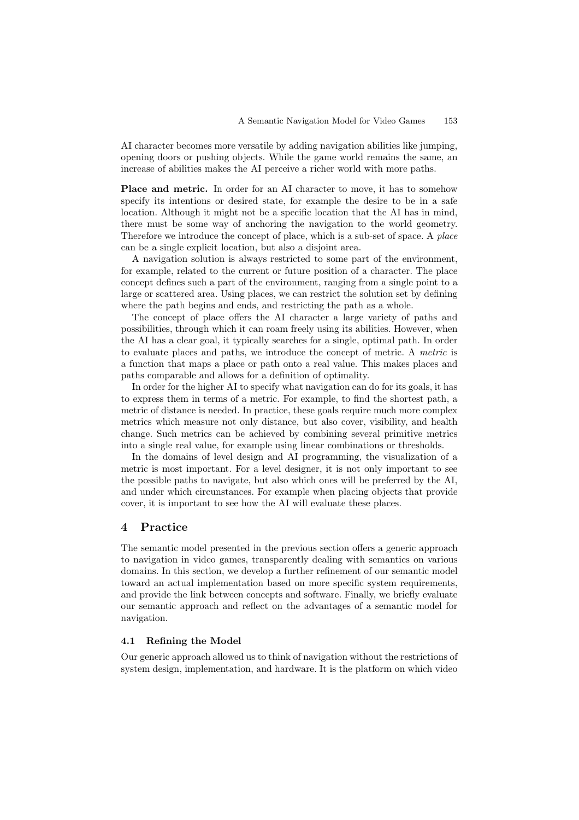AI character becomes more versatile by adding navigation abilities like jumping, opening doors or pushing objects. While the game world remains the same, an increase of abilities makes the AI perceive a richer world with more paths.

Place and metric. In order for an AI character to move, it has to somehow specify its intentions or desired state, for example the desire to be in a safe location. Although it might not be a specific location that the AI has in mind, there must be some way of anchoring the navigation to the world geometry. Therefore we introduce the concept of place, which is a sub-set of space. A *place* can be a single explicit location, but also a disjoint area.

A navigation solution is always restricted to some part of the environment, for example, related to the current or future position of a character. The place concept defines such a part of the environment, ranging from a single point to a large or scattered area. Using places, we can restrict the solution set by defining where the path begins and ends, and restricting the path as a whole.

The concept of place offers the AI character a large variety of paths and possibilities, through which it can roam freely using its abilities. However, when the AI has a clear goal, it typically searches for a single, optimal path. In order to evaluate places and paths, we introduce the concept of metric. A *metric* is a function that maps a place or path onto a real value. This makes places and paths comparable and allows for a definition of optimality.

In order for the higher AI to specify what navigation can do for its goals, it has to express them in terms of a metric. For example, to find the shortest path, a metric of distance is needed. In practice, these goals require much more complex metrics which measure not only distance, but also cover, visibility, and health change. Such metrics can be achieved by combining several primitive metrics into a single real value, for example using linear combinations or thresholds.

In the domains of level design and AI programming, the visualization of a metric is most important. For a level designer, it is not only important to see the possible paths to navigate, but also which ones will be preferred by the AI, and under which circunstances. For example when placing objects that provide cover, it is important to see how the AI will evaluate these places.

# <span id="page-7-0"></span>**4 Practice**

The semantic model presented in the previous section offers a generic approach to navigation in video games, transparently dealing with semantics on various domains. In this section, we develop a further refinement of our semantic model toward an actual implementation based on more specific system requirements, and provide the link between concepts and software. Finally, we briefly evaluate our semantic approach and reflect on the advantages of a semantic model for navigation.

### **4.1 Refining the Model**

Our generic approach allowed us to think of navigation without the restrictions of system design, implementation, and hardware. It is the platform on which video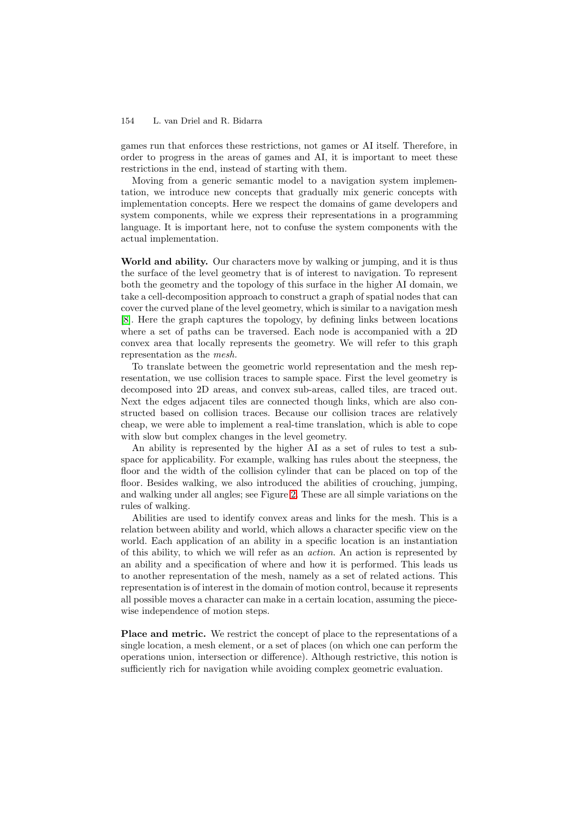games run that enforces these restrictions, not games or AI itself. Therefore, in order to progress in the areas of games and AI, it is important to meet these restrictions in the end, instead of starting with them.

Moving from a generic semantic model to a navigation system implementation, we introduce new concepts that gradually mix generic concepts with implementation concepts. Here we respect the domains of game developers and system components, while we express their representations in a programming language. It is important here, not to confuse the system components with the actual implementation.

**World and ability.** Our characters move by walking or jumping, and it is thus the surface of the level geometry that is of interest to navigation. To represent both the geometry and the topology of this surface in the higher AI domain, we take a cell-decomposition approach to construct a graph of spatial nodes that can cover the curved plane of the level geometry, which is similar to a navigation mesh [8]. Here the graph captures the topology, by defining links between locations where a set of paths can be traversed. Each node is accompanied with a 2D convex area that locally represents the geometry. We will refer to this graph representation as the *mesh.*

To translate between the geometric world representation and the mesh representation, we use collision traces to sample space. First the level geometry is decomposed into 2D areas, and convex sub-areas, called tiles, are traced out. Next the edges adjacent tiles are connected though links, which are also constructed based on collision traces. Because our collision traces are relatively cheap, we were able to implement a real-time translation, which is able to cope with slow but complex changes in the level geometry.

An ability is represented by the higher AI as a set of rules to test a subspace for applicability. For example, walking has rules about the steepness, the floor and the width of the collision cylinder that can be placed on top of the floor. Besides walking, we also introduced the abilities of crouching, jumping, and walking under all angles; see Figure 2. These are all simple variations on the rules of walking.

Abilities are used to identify convex areas and links for the mesh. This is a relation between ability and world, which allows a character specific view on the world. Each application of an ability i[n](#page-9-0) a specific location is an instantiation of this ability, to which we will refer as an *action*. An action is represented by an ability and a specification of where and how it is performed. This leads us to another representation of the mesh, namely as a set of related actions. This representation is of interest in the domain of motion control, because it represents all possible moves a character can make in a certain location, assuming the piecewise independence of motion steps.

**Place and metric.** We restrict the concept of place to the representations of a single location, a mesh element, or a set of places (on which one can perform the operations union, intersection or difference). Although restrictive, this notion is sufficiently rich for navigation while avoiding complex geometric evaluation.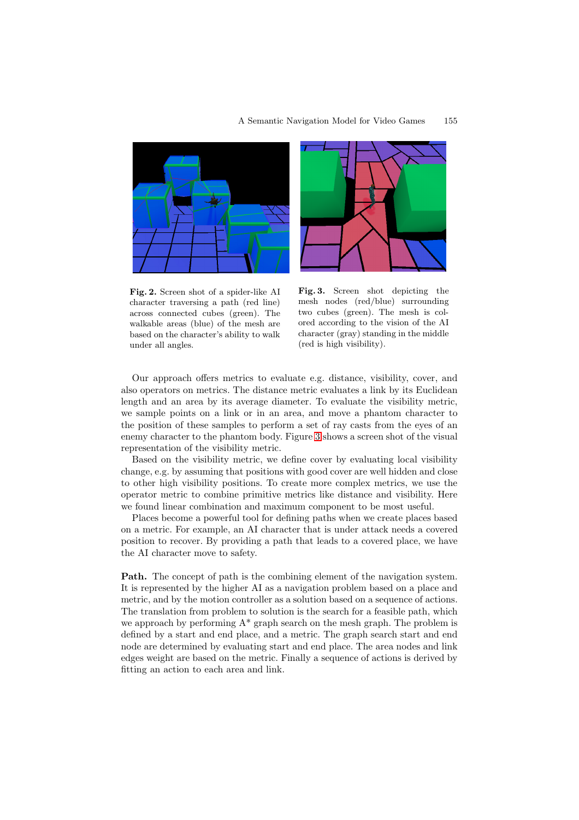

**Fig. 2.** Screen shot of a spider-like AI character traversing a path (red line) across connected cubes (green). The walkable areas (blue) of the mesh are based on the character's ability to walk under all angles.

<span id="page-9-1"></span>

**Fig. 3.** Screen shot depicting the mesh nodes (red/blue) surrounding two cubes (green). The mesh is colored according to the vision of the AI character (gray) standing in the middle (red is high visibility).

<span id="page-9-0"></span>Our approach offers metrics to evaluate e.g. distance, visibility, cover, and also operators on metrics. The distance metric evaluates a link by its Euclidean length and an area by its average diameter. To evaluate the visibility metric, we sample points on a link or in an area, and move a phantom character to the position of these samples to perform a set of ray casts from the eyes of an enemy character to the phantom body. Figure 3 shows a screen shot of the visual representation of the visibility metric.

Based on the visibility metric, we define cover by evaluating local visibility change, e.g. by assuming that positions with good cover are well hidden and close to other high visibility positions. To create [mo](#page-9-1)re complex metrics, we use the operator metric to combine primitive metrics like distance and visibility. Here we found linear combination and maximum component to be most useful.

Places become a powerful tool for defining paths when we create places based on a metric. For example, an AI character that is under attack needs a covered position to recover. By providing a path that leads to a covered place, we have the AI character move to safety.

Path. The concept of path is the combining element of the navigation system. It is represented by the higher AI as a navigation problem based on a place and metric, and by the motion controller as a solution based on a sequence of actions. The translation from problem to solution is the search for a feasible path, which we approach by performing  $A^*$  graph search on the mesh graph. The problem is defined by a start and end place, and a metric. The graph search start and end node are determined by evaluating start and end place. The area nodes and link edges weight are based on the metric. Finally a sequence of actions is derived by fitting an action to each area and link.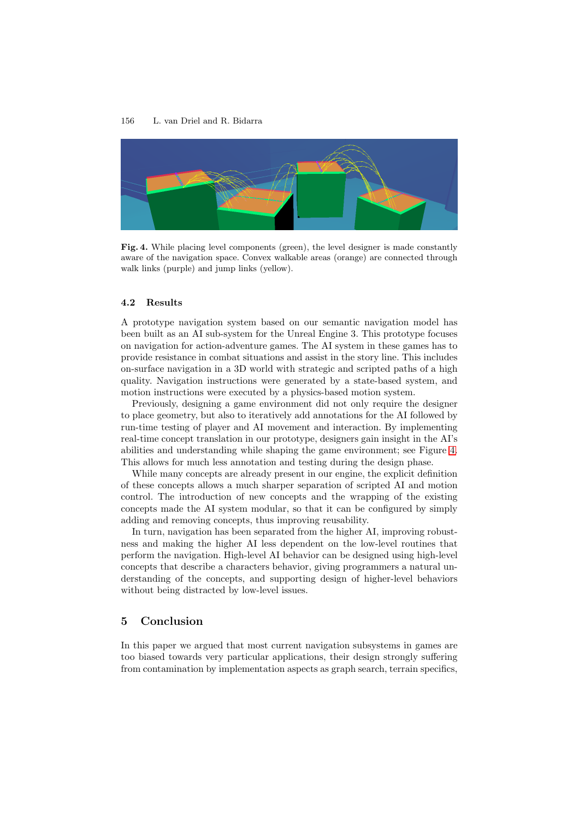

Fig. 4. While placing level components (green), the level designer is made constantly aware of the navigation space. Convex walkable areas (orange) are connected through walk links (purple) and jump links (yellow).

#### <span id="page-10-1"></span>**4.2 Results**

A prototype navigation system based on our semantic navigation model has been built as an AI sub-system for the Unreal Engine 3. This prototype focuses on navigation for action-adventure games. The AI system in these games has to provide resistance in combat situations and assist in the story line. This includes on-surface navigation in a 3D world with strategic and scripted paths of a high quality. Navigation instructions were generated by a state-based system, and motion instructions were executed by a physics-based motion system.

Previously, designing a game environment did not only require the designer to place geometry, but also to iteratively add annotations for the AI followed by run-time testing of player and AI movement and interaction. By implementing real-time concept translation in our prototype, designers gain insight in the AI's abilities and understanding while shaping the game environment; see Figure 4. This allows for much less annotation and testing during the design phase.

While many concepts are already present in our engine, the explicit definition of these concepts allows a much sharper separation of scripted AI and motion control. The introduction of new concepts and the wrapping of the existi[ng](#page-10-1) concepts made the AI system modular, so that it can be configured by simply adding and removing concepts, thus improving reusability.

In turn, navigation has been separated from the higher AI, improving robustness and making the higher AI less dependent on the low-level routines that perform the navigation. High-level AI behavior can be designed using high-level concepts that describe a characters behavior, giving programmers a natural understanding of the concepts, and supporting design of higher-level behaviors without being distracted by low-level issues.

# **5 Conclusion**

<span id="page-10-0"></span>In this paper we argued that most current navigation subsystems in games are too biased towards very particular applications, their design strongly suffering from contamination by implementation aspects as graph search, terrain specifics,